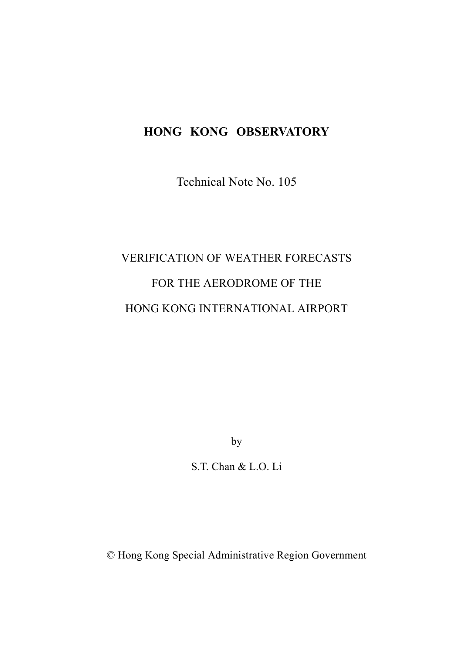# **HONG KONG OBSERVATORY**

Technical Note No. 105

# VERIFICATION OF WEATHER FORECASTS FOR THE AERODROME OF THE HONG KONG INTERNATIONAL AIRPORT

by

S.T. Chan & L.O. Li

© Hong Kong Special Administrative Region Government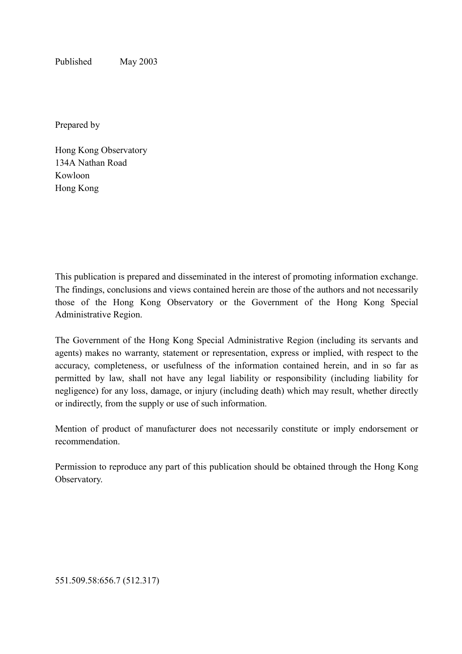Published May 2003

Prepared by

Hong Kong Observatory 134A Nathan Road Kowloon Hong Kong

This publication is prepared and disseminated in the interest of promoting information exchange. The findings, conclusions and views contained herein are those of the authors and not necessarily those of the Hong Kong Observatory or the Government of the Hong Kong Special Administrative Region.

The Government of the Hong Kong Special Administrative Region (including its servants and agents) makes no warranty, statement or representation, express or implied, with respect to the accuracy, completeness, or usefulness of the information contained herein, and in so far as permitted by law, shall not have any legal liability or responsibility (including liability for negligence) for any loss, damage, or injury (including death) which may result, whether directly or indirectly, from the supply or use of such information.

Mention of product of manufacturer does not necessarily constitute or imply endorsement or recommendation.

Permission to reproduce any part of this publication should be obtained through the Hong Kong Observatory.

551.509.58:656.7 (512.317)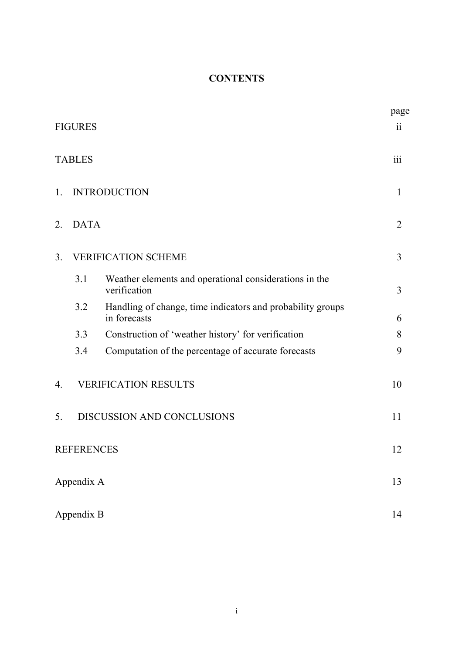# **CONTENTS**

|    | <b>FIGURES</b>    |                                                                            | page<br>$\overline{\mathbf{u}}$ |
|----|-------------------|----------------------------------------------------------------------------|---------------------------------|
|    | <b>TABLES</b>     |                                                                            | $\overline{111}$                |
| 1. |                   | <b>INTRODUCTION</b>                                                        | 1                               |
| 2. | <b>DATA</b>       |                                                                            | $\overline{2}$                  |
| 3. |                   | <b>VERIFICATION SCHEME</b>                                                 | 3                               |
|    | 3.1               | Weather elements and operational considerations in the<br>verification     | 3                               |
|    | 3.2               | Handling of change, time indicators and probability groups<br>in forecasts | 6                               |
|    | 3.3               | Construction of 'weather history' for verification                         | 8                               |
|    | 3.4               | Computation of the percentage of accurate forecasts                        | 9                               |
| 4. |                   | <b>VERIFICATION RESULTS</b>                                                | 10                              |
| 5. |                   | DISCUSSION AND CONCLUSIONS                                                 | 11                              |
|    | <b>REFERENCES</b> |                                                                            |                                 |
|    | Appendix A        |                                                                            | 13                              |
|    | Appendix B        |                                                                            | 14                              |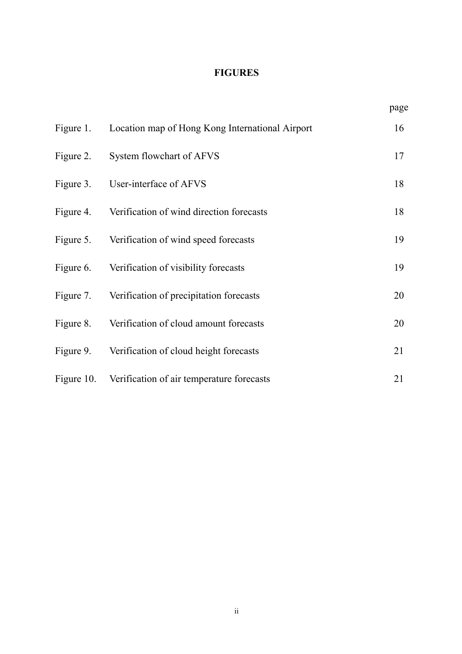## **FIGURES**

|            |                                                  | page |
|------------|--------------------------------------------------|------|
| Figure 1.  | Location map of Hong Kong International Airport  | 16   |
| Figure 2.  | System flowchart of AFVS                         | 17   |
| Figure 3.  | User-interface of AFVS                           | 18   |
| Figure 4.  | Verification of wind direction forecasts         | 18   |
| Figure 5.  | Verification of wind speed forecasts             | 19   |
| Figure 6.  | Verification of visibility forecasts             | 19   |
| Figure 7.  | Verification of precipitation forecasts          | 20   |
| Figure 8.  | Verification of cloud amount forecasts           | 20   |
|            | Figure 9. Verification of cloud height forecasts | 21   |
| Figure 10. | Verification of air temperature forecasts        | 21   |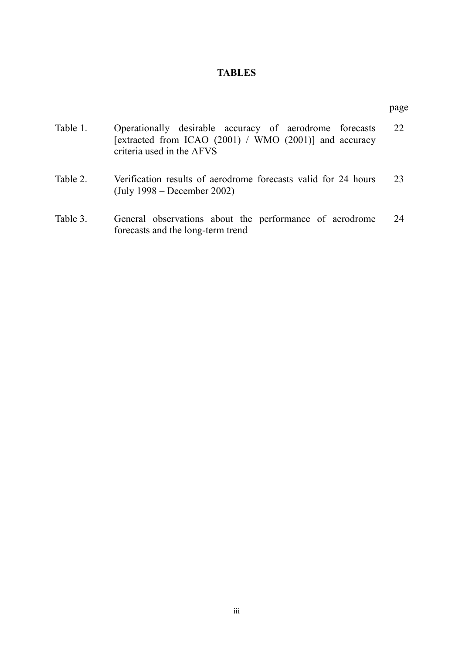#### **TABLES**

page and the state of the state of the state of the state of the state of the state of the state of the state o

- Table 1. Operationally desirable accuracy of aerodrome forecasts [extracted from ICAO (2001) / WMO (2001)] and accuracy criteria used in the AFVS 22
- Table 2. Verification results of aerodrome forecasts valid for 24 hours (July 1998 – December 2002) 23
- Table 3. General observations about the performance of aerodrome forecasts and the long-term trend 24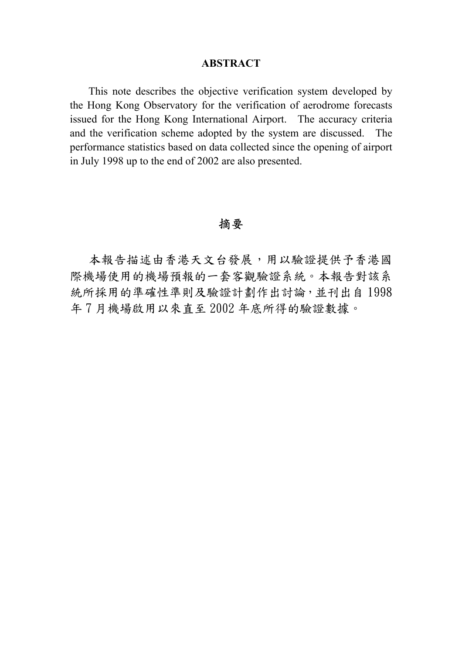#### **ABSTRACT**

 This note describes the objective verification system developed by the Hong Kong Observatory for the verification of aerodrome forecasts issued for the Hong Kong International Airport. The accuracy criteria and the verification scheme adopted by the system are discussed. The performance statistics based on data collected since the opening of airport in July 1998 up to the end of 2002 are also presented.

## 摘要

本報告描述由香港天文台發展,用以驗證提供予香港國 際機場使用的機場預報的一套客觀驗證系統。本報告對該系 統所採用的準確性準則及驗證計劃作出討論,並刊出自1998 年 7 月機場啟用以來直至 2002 年底所得的驗證數據。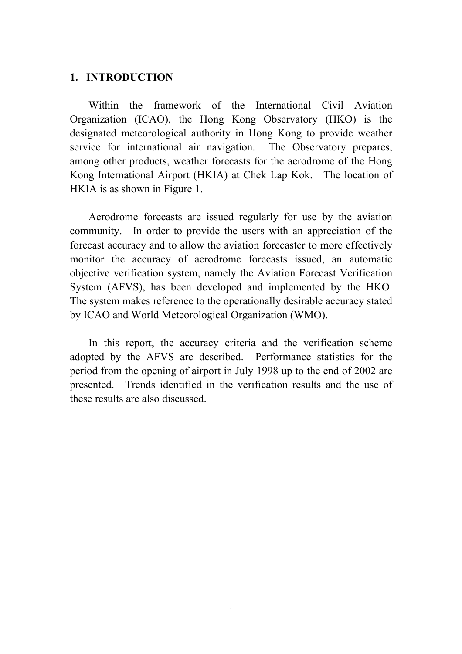#### **1. INTRODUCTION**

 Within the framework of the International Civil Aviation Organization (ICAO), the Hong Kong Observatory (HKO) is the designated meteorological authority in Hong Kong to provide weather service for international air navigation. The Observatory prepares, among other products, weather forecasts for the aerodrome of the Hong Kong International Airport (HKIA) at Chek Lap Kok. The location of HKIA is as shown in Figure 1.

Aerodrome forecasts are issued regularly for use by the aviation community. In order to provide the users with an appreciation of the forecast accuracy and to allow the aviation forecaster to more effectively monitor the accuracy of aerodrome forecasts issued, an automatic objective verification system, namely the Aviation Forecast Verification System (AFVS), has been developed and implemented by the HKO. The system makes reference to the operationally desirable accuracy stated by ICAO and World Meteorological Organization (WMO).

 In this report, the accuracy criteria and the verification scheme adopted by the AFVS are described. Performance statistics for the period from the opening of airport in July 1998 up to the end of 2002 are presented. Trends identified in the verification results and the use of these results are also discussed.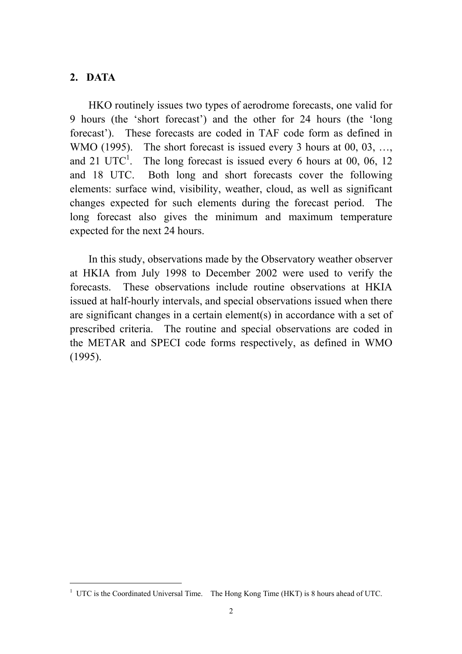## **2. DATA**

 $\overline{a}$ 

HKO routinely issues two types of aerodrome forecasts, one valid for 9 hours (the 'short forecast') and the other for 24 hours (the 'long forecast'). These forecasts are coded in TAF code form as defined in WMO (1995). The short forecast is issued every 3 hours at 00, 03, ..., and 21 UTC<sup>1</sup>. The long forecast is issued every 6 hours at 00, 06, 12 and 18 UTC. Both long and short forecasts cover the following elements: surface wind, visibility, weather, cloud, as well as significant changes expected for such elements during the forecast period. The long forecast also gives the minimum and maximum temperature expected for the next 24 hours.

In this study, observations made by the Observatory weather observer at HKIA from July 1998 to December 2002 were used to verify the forecasts. These observations include routine observations at HKIA issued at half-hourly intervals, and special observations issued when there are significant changes in a certain element(s) in accordance with a set of prescribed criteria. The routine and special observations are coded in the METAR and SPECI code forms respectively, as defined in WMO (1995).

<sup>&</sup>lt;sup>1</sup> UTC is the Coordinated Universal Time. The Hong Kong Time (HKT) is 8 hours ahead of UTC.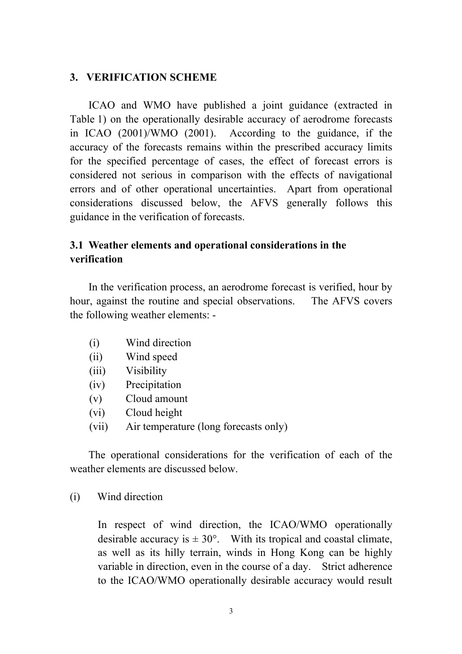#### **3. VERIFICATION SCHEME**

ICAO and WMO have published a joint guidance (extracted in Table 1) on the operationally desirable accuracy of aerodrome forecasts in ICAO (2001)/WMO (2001). According to the guidance, if the accuracy of the forecasts remains within the prescribed accuracy limits for the specified percentage of cases, the effect of forecast errors is considered not serious in comparison with the effects of navigational errors and of other operational uncertainties. Apart from operational considerations discussed below, the AFVS generally follows this guidance in the verification of forecasts.

## **3.1 Weather elements and operational considerations in the verification**

 In the verification process, an aerodrome forecast is verified, hour by hour, against the routine and special observations. The AFVS covers the following weather elements: -

- (i) Wind direction
- (ii) Wind speed
- (iii) Visibility
- (iv) Precipitation
- (v) Cloud amount
- (vi) Cloud height
- (vii) Air temperature (long forecasts only)

The operational considerations for the verification of each of the weather elements are discussed below.

(i) Wind direction

In respect of wind direction, the ICAO/WMO operationally desirable accuracy is  $\pm 30^{\circ}$ . With its tropical and coastal climate, as well as its hilly terrain, winds in Hong Kong can be highly variable in direction, even in the course of a day. Strict adherence to the ICAO/WMO operationally desirable accuracy would result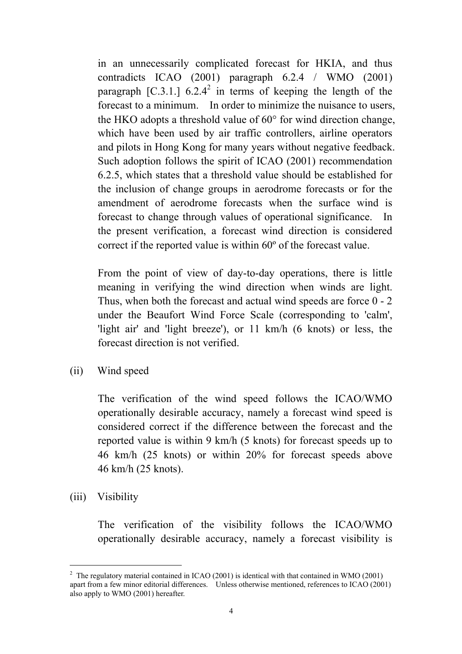in an unnecessarily complicated forecast for HKIA, and thus contradicts ICAO (2001) paragraph 6.2.4 / WMO (2001) paragraph [C.3.1.]  $6.2.4^2$  in terms of keeping the length of the forecast to a minimum. In order to minimize the nuisance to users, the HKO adopts a threshold value of 60° for wind direction change, which have been used by air traffic controllers, airline operators and pilots in Hong Kong for many years without negative feedback. Such adoption follows the spirit of ICAO (2001) recommendation 6.2.5, which states that a threshold value should be established for the inclusion of change groups in aerodrome forecasts or for the amendment of aerodrome forecasts when the surface wind is forecast to change through values of operational significance. In the present verification, a forecast wind direction is considered correct if the reported value is within 60º of the forecast value.

From the point of view of day-to-day operations, there is little meaning in verifying the wind direction when winds are light. Thus, when both the forecast and actual wind speeds are force 0 - 2 under the Beaufort Wind Force Scale (corresponding to 'calm', 'light air' and 'light breeze'), or 11 km/h (6 knots) or less, the forecast direction is not verified.

(ii) Wind speed

The verification of the wind speed follows the ICAO/WMO operationally desirable accuracy, namely a forecast wind speed is considered correct if the difference between the forecast and the reported value is within 9 km/h (5 knots) for forecast speeds up to 46 km/h (25 knots) or within 20% for forecast speeds above 46 km/h (25 knots).

(iii) Visibility

 $\overline{a}$ 

The verification of the visibility follows the ICAO/WMO operationally desirable accuracy, namely a forecast visibility is

<sup>&</sup>lt;sup>2</sup> The regulatory material contained in ICAO (2001) is identical with that contained in WMO (2001) apart from a few minor editorial differences. Unless otherwise mentioned, references to ICAO (2001) also apply to WMO (2001) hereafter.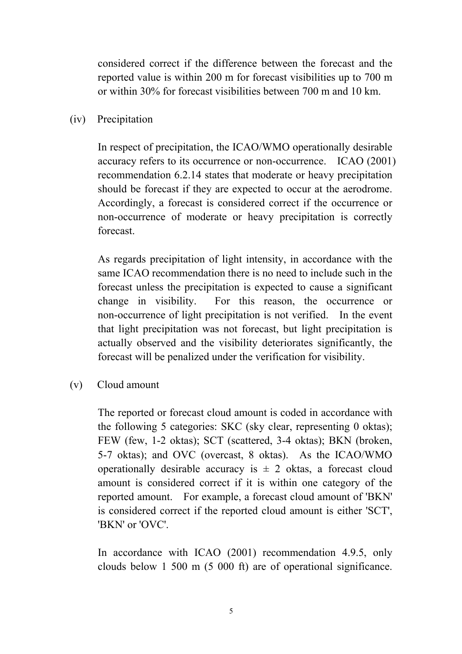considered correct if the difference between the forecast and the reported value is within 200 m for forecast visibilities up to 700 m or within 30% for forecast visibilities between 700 m and 10 km.

#### (iv) Precipitation

In respect of precipitation, the ICAO/WMO operationally desirable accuracy refers to its occurrence or non-occurrence. ICAO (2001) recommendation 6.2.14 states that moderate or heavy precipitation should be forecast if they are expected to occur at the aerodrome. Accordingly, a forecast is considered correct if the occurrence or non-occurrence of moderate or heavy precipitation is correctly forecast.

As regards precipitation of light intensity, in accordance with the same ICAO recommendation there is no need to include such in the forecast unless the precipitation is expected to cause a significant change in visibility. For this reason, the occurrence or non-occurrence of light precipitation is not verified. In the event that light precipitation was not forecast, but light precipitation is actually observed and the visibility deteriorates significantly, the forecast will be penalized under the verification for visibility.

(v) Cloud amount

The reported or forecast cloud amount is coded in accordance with the following 5 categories: SKC (sky clear, representing 0 oktas); FEW (few, 1-2 oktas); SCT (scattered, 3-4 oktas); BKN (broken, 5-7 oktas); and OVC (overcast, 8 oktas). As the ICAO/WMO operationally desirable accuracy is  $\pm$  2 oktas, a forecast cloud amount is considered correct if it is within one category of the reported amount. For example, a forecast cloud amount of 'BKN' is considered correct if the reported cloud amount is either 'SCT', 'BKN' or 'OVC'.

In accordance with ICAO (2001) recommendation 4.9.5, only clouds below 1 500 m (5 000 ft) are of operational significance.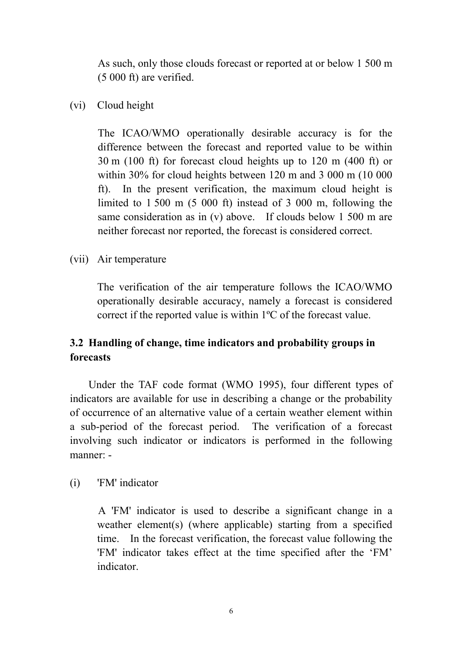As such, only those clouds forecast or reported at or below 1 500 m (5 000 ft) are verified.

(vi) Cloud height

The ICAO/WMO operationally desirable accuracy is for the difference between the forecast and reported value to be within 30 m (100 ft) for forecast cloud heights up to 120 m (400 ft) or within 30% for cloud heights between 120 m and 3 000 m (10 000 ft). In the present verification, the maximum cloud height is limited to 1 500 m (5 000 ft) instead of 3 000 m, following the same consideration as in (v) above. If clouds below 1 500 m are neither forecast nor reported, the forecast is considered correct.

(vii) Air temperature

The verification of the air temperature follows the ICAO/WMO operationally desirable accuracy, namely a forecast is considered correct if the reported value is within 1ºC of the forecast value.

# **3.2 Handling of change, time indicators and probability groups in forecasts**

Under the TAF code format (WMO 1995), four different types of indicators are available for use in describing a change or the probability of occurrence of an alternative value of a certain weather element within a sub-period of the forecast period. The verification of a forecast involving such indicator or indicators is performed in the following manner: -

(i) 'FM' indicator

A 'FM' indicator is used to describe a significant change in a weather element(s) (where applicable) starting from a specified time. In the forecast verification, the forecast value following the 'FM' indicator takes effect at the time specified after the 'FM' indicator.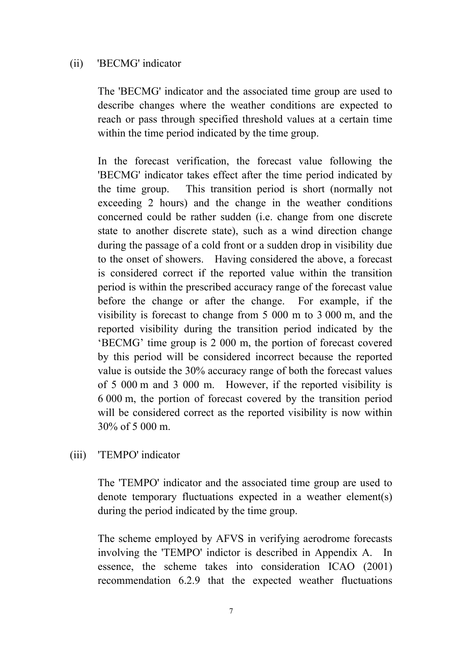## (ii) 'BECMG' indicator

The 'BECMG' indicator and the associated time group are used to describe changes where the weather conditions are expected to reach or pass through specified threshold values at a certain time within the time period indicated by the time group.

In the forecast verification, the forecast value following the 'BECMG' indicator takes effect after the time period indicated by the time group. This transition period is short (normally not exceeding 2 hours) and the change in the weather conditions concerned could be rather sudden (i.e. change from one discrete state to another discrete state), such as a wind direction change during the passage of a cold front or a sudden drop in visibility due to the onset of showers. Having considered the above, a forecast is considered correct if the reported value within the transition period is within the prescribed accuracy range of the forecast value before the change or after the change. For example, if the visibility is forecast to change from 5 000 m to 3 000 m, and the reported visibility during the transition period indicated by the 'BECMG' time group is 2 000 m, the portion of forecast covered by this period will be considered incorrect because the reported value is outside the 30% accuracy range of both the forecast values of 5 000 m and 3 000 m. However, if the reported visibility is 6 000 m, the portion of forecast covered by the transition period will be considered correct as the reported visibility is now within 30% of 5 000 m.

(iii) 'TEMPO' indicator

The 'TEMPO' indicator and the associated time group are used to denote temporary fluctuations expected in a weather element(s) during the period indicated by the time group.

The scheme employed by AFVS in verifying aerodrome forecasts involving the 'TEMPO' indictor is described in Appendix A. In essence, the scheme takes into consideration ICAO (2001) recommendation 6.2.9 that the expected weather fluctuations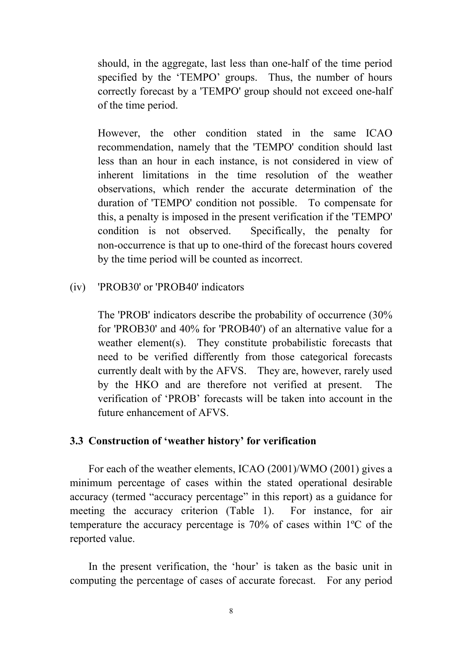should, in the aggregate, last less than one-half of the time period specified by the 'TEMPO' groups. Thus, the number of hours correctly forecast by a 'TEMPO' group should not exceed one-half of the time period.

However, the other condition stated in the same ICAO recommendation, namely that the 'TEMPO' condition should last less than an hour in each instance, is not considered in view of inherent limitations in the time resolution of the weather observations, which render the accurate determination of the duration of 'TEMPO' condition not possible. To compensate for this, a penalty is imposed in the present verification if the 'TEMPO' condition is not observed. Specifically, the penalty for non-occurrence is that up to one-third of the forecast hours covered by the time period will be counted as incorrect.

## (iv) 'PROB30' or 'PROB40' indicators

The 'PROB' indicators describe the probability of occurrence (30% for 'PROB30' and 40% for 'PROB40') of an alternative value for a weather element(s). They constitute probabilistic forecasts that need to be verified differently from those categorical forecasts currently dealt with by the AFVS. They are, however, rarely used by the HKO and are therefore not verified at present. The verification of 'PROB' forecasts will be taken into account in the future enhancement of AFVS.

## **3.3 Construction of 'weather history' for verification**

For each of the weather elements, ICAO (2001)/WMO (2001) gives a minimum percentage of cases within the stated operational desirable accuracy (termed "accuracy percentage" in this report) as a guidance for meeting the accuracy criterion (Table 1). For instance, for air temperature the accuracy percentage is 70% of cases within 1ºC of the reported value.

In the present verification, the 'hour' is taken as the basic unit in computing the percentage of cases of accurate forecast. For any period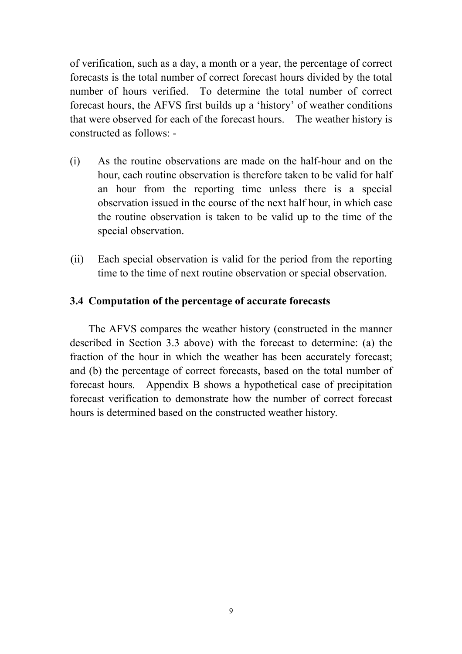of verification, such as a day, a month or a year, the percentage of correct forecasts is the total number of correct forecast hours divided by the total number of hours verified. To determine the total number of correct forecast hours, the AFVS first builds up a 'history' of weather conditions that were observed for each of the forecast hours. The weather history is constructed as follows: -

- (i) As the routine observations are made on the half-hour and on the hour, each routine observation is therefore taken to be valid for half an hour from the reporting time unless there is a special observation issued in the course of the next half hour, in which case the routine observation is taken to be valid up to the time of the special observation.
- (ii) Each special observation is valid for the period from the reporting time to the time of next routine observation or special observation.

## **3.4 Computation of the percentage of accurate forecasts**

The AFVS compares the weather history (constructed in the manner described in Section 3.3 above) with the forecast to determine: (a) the fraction of the hour in which the weather has been accurately forecast; and (b) the percentage of correct forecasts, based on the total number of forecast hours. Appendix B shows a hypothetical case of precipitation forecast verification to demonstrate how the number of correct forecast hours is determined based on the constructed weather history.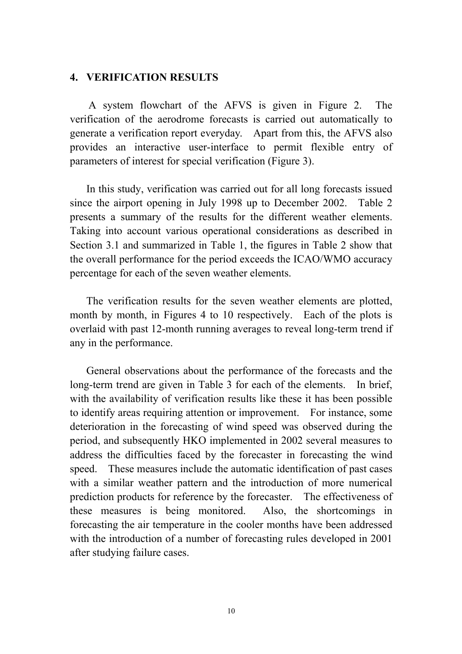#### **4. VERIFICATION RESULTS**

A system flowchart of the AFVS is given in Figure 2. The verification of the aerodrome forecasts is carried out automatically to generate a verification report everyday. Apart from this, the AFVS also provides an interactive user-interface to permit flexible entry of parameters of interest for special verification (Figure 3).

In this study, verification was carried out for all long forecasts issued since the airport opening in July 1998 up to December 2002. Table 2 presents a summary of the results for the different weather elements. Taking into account various operational considerations as described in Section 3.1 and summarized in Table 1, the figures in Table 2 show that the overall performance for the period exceeds the ICAO/WMO accuracy percentage for each of the seven weather elements.

The verification results for the seven weather elements are plotted, month by month, in Figures 4 to 10 respectively. Each of the plots is overlaid with past 12-month running averages to reveal long-term trend if any in the performance.

General observations about the performance of the forecasts and the long-term trend are given in Table 3 for each of the elements. In brief, with the availability of verification results like these it has been possible to identify areas requiring attention or improvement. For instance, some deterioration in the forecasting of wind speed was observed during the period, and subsequently HKO implemented in 2002 several measures to address the difficulties faced by the forecaster in forecasting the wind speed. These measures include the automatic identification of past cases with a similar weather pattern and the introduction of more numerical prediction products for reference by the forecaster. The effectiveness of these measures is being monitored. Also, the shortcomings in forecasting the air temperature in the cooler months have been addressed with the introduction of a number of forecasting rules developed in 2001 after studying failure cases.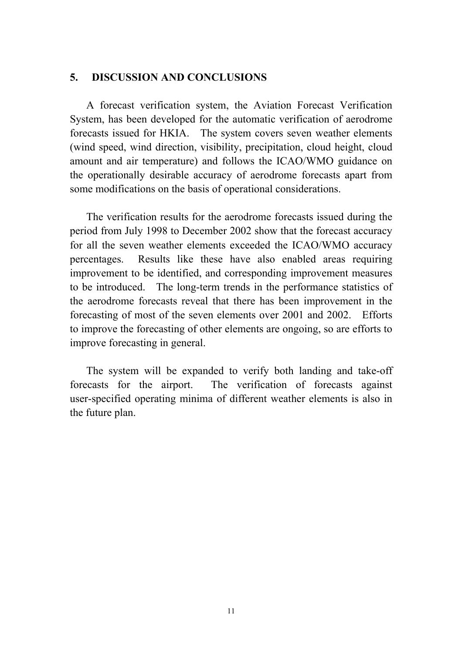#### **5. DISCUSSION AND CONCLUSIONS**

A forecast verification system, the Aviation Forecast Verification System, has been developed for the automatic verification of aerodrome forecasts issued for HKIA. The system covers seven weather elements (wind speed, wind direction, visibility, precipitation, cloud height, cloud amount and air temperature) and follows the ICAO/WMO guidance on the operationally desirable accuracy of aerodrome forecasts apart from some modifications on the basis of operational considerations.

The verification results for the aerodrome forecasts issued during the period from July 1998 to December 2002 show that the forecast accuracy for all the seven weather elements exceeded the ICAO/WMO accuracy percentages. Results like these have also enabled areas requiring improvement to be identified, and corresponding improvement measures to be introduced. The long-term trends in the performance statistics of the aerodrome forecasts reveal that there has been improvement in the forecasting of most of the seven elements over 2001 and 2002. Efforts to improve the forecasting of other elements are ongoing, so are efforts to improve forecasting in general.

The system will be expanded to verify both landing and take-off forecasts for the airport. The verification of forecasts against user-specified operating minima of different weather elements is also in the future plan.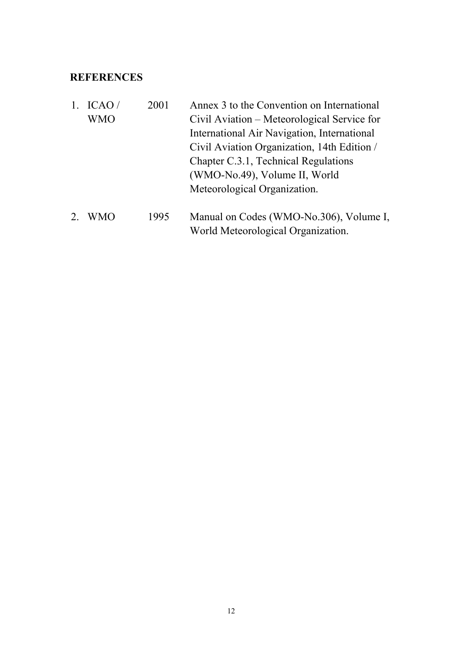## **REFERENCES**

- 1. ICAO / WMO 2001 Annex 3 to the Convention on International Civil Aviation – Meteorological Service for International Air Navigation, International Civil Aviation Organization, 14th Edition / Chapter C.3.1, Technical Regulations (WMO-No.49), Volume II, World Meteorological Organization. 2. WMO 1995 Manual on Codes (WMO-No.306), Volume I,
- World Meteorological Organization.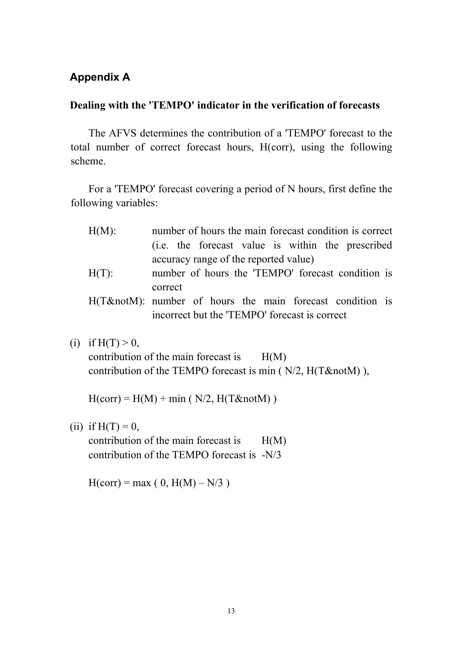# **Appendix A**

## **Dealing with the 'TEMPO' indicator in the verification of forecasts**

The AFVS determines the contribution of a 'TEMPO' forecast to the total number of correct forecast hours, H(corr), using the following scheme.

For a 'TEMPO' forecast covering a period of N hours, first define the following variables:

- H(M): number of hours the main forecast condition is correct (i.e. the forecast value is within the prescribed accuracy range of the reported value) H(T): number of hours the 'TEMPO' forecast condition is correct  $H(T\&notM)$ : number of hours the main forecast condition is
	- incorrect but the 'TEMPO' forecast is correct
- (i) if  $H(T) > 0$ , contribution of the main forecast is  $H(M)$ contribution of the TEMPO forecast is min ( $N/2$ ,  $H(T\&notM)$ ),

 $H(corr) = H(M) + min ( N/2, H(T&notM) )$ 

(ii) if  $H(T) = 0$ ,

contribution of the main forecast is  $H(M)$ contribution of the TEMPO forecast is -N/3

 $H(corr) = max ( 0, H(M) - N/3 )$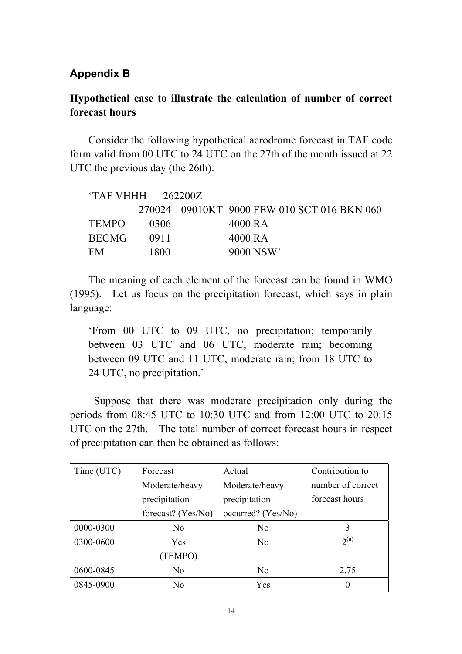# **Appendix B**

# **Hypothetical case to illustrate the calculation of number of correct forecast hours**

Consider the following hypothetical aerodrome forecast in TAF code form valid from 00 UTC to 24 UTC on the 27th of the month issued at 22 UTC the previous day (the 26th):

| TAF VHHH 262200Z |      |                                             |
|------------------|------|---------------------------------------------|
|                  |      | 270024 09010KT 9000 FEW 010 SCT 016 BKN 060 |
| TEMPO.           | 0306 | 4000 RA                                     |
| <b>BECMG</b>     | 0911 | 4000 RA                                     |
| <b>FM</b>        | 1800 | $9000$ NSW'                                 |

The meaning of each element of the forecast can be found in WMO (1995). Let us focus on the precipitation forecast, which says in plain language:

'From 00 UTC to 09 UTC, no precipitation; temporarily between 03 UTC and 06 UTC, moderate rain; becoming between 09 UTC and 11 UTC, moderate rain; from 18 UTC to 24 UTC, no precipitation.'

 Suppose that there was moderate precipitation only during the periods from 08:45 UTC to 10:30 UTC and from 12:00 UTC to 20:15 UTC on the 27th. The total number of correct forecast hours in respect of precipitation can then be obtained as follows:

| Time (UTC) | Forecast           | Actual             | Contribution to   |
|------------|--------------------|--------------------|-------------------|
|            | Moderate/heavy     | Moderate/heavy     | number of correct |
|            | precipitation      | precipitation      | forecast hours    |
|            | forecast? (Yes/No) | occurred? (Yes/No) |                   |
| 0000-0300  | N <sub>0</sub>     | No                 |                   |
| 0300-0600  | <b>Yes</b>         | N <sub>0</sub>     | $2^{(a)}$         |
|            | <b>TEMPO)</b>      |                    |                   |
| 0600-0845  | No                 | N <sub>0</sub>     | 2.75              |
| 0845-0900  | No                 | Yes                |                   |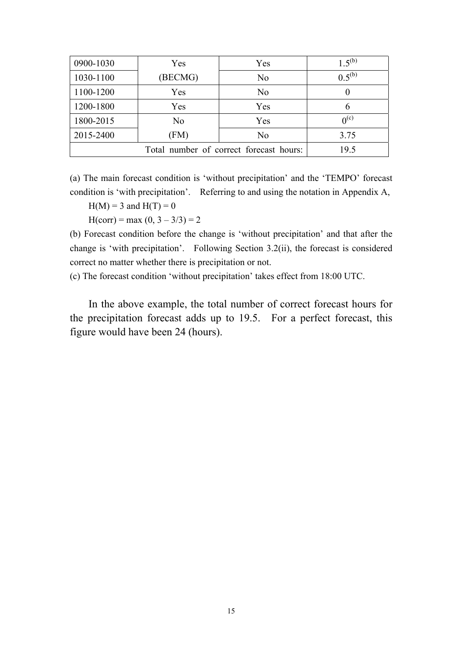| 0900-1030 | Yes            | Yes            | $1.5^{(b)}$      |
|-----------|----------------|----------------|------------------|
| 1030-1100 | (BECMG)        | N <sub>0</sub> | $0.5^{(b)}$      |
| 1100-1200 | Yes            | N <sub>0</sub> |                  |
| 1200-1800 | Yes            | Yes            |                  |
| 1800-2015 | N <sub>0</sub> | Yes            | 0 <sup>(c)</sup> |
| 2015-2400 | (FM)           | N <sub>0</sub> | 3.75             |
|           | 19.5           |                |                  |

(a) The main forecast condition is 'without precipitation' and the 'TEMPO' forecast condition is 'with precipitation'. Referring to and using the notation in Appendix A,

 $H(M) = 3$  and  $H(T) = 0$ 

 $H(corr) = max (0, 3 – 3/3) = 2$ 

(b) Forecast condition before the change is 'without precipitation' and that after the change is 'with precipitation'. Following Section 3.2(ii), the forecast is considered correct no matter whether there is precipitation or not.

(c) The forecast condition 'without precipitation' takes effect from 18:00 UTC.

In the above example, the total number of correct forecast hours for the precipitation forecast adds up to 19.5. For a perfect forecast, this figure would have been 24 (hours).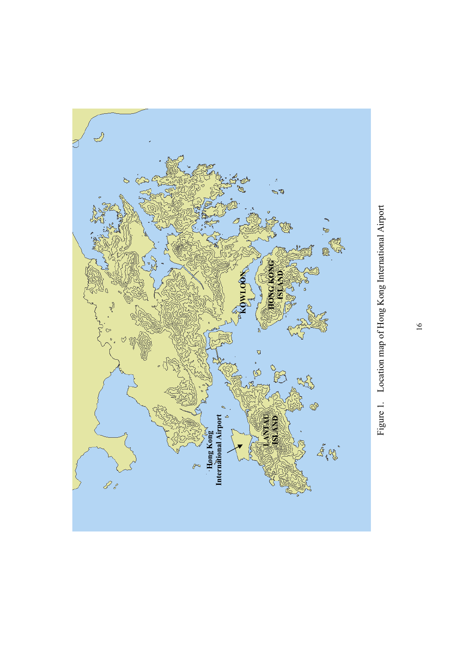

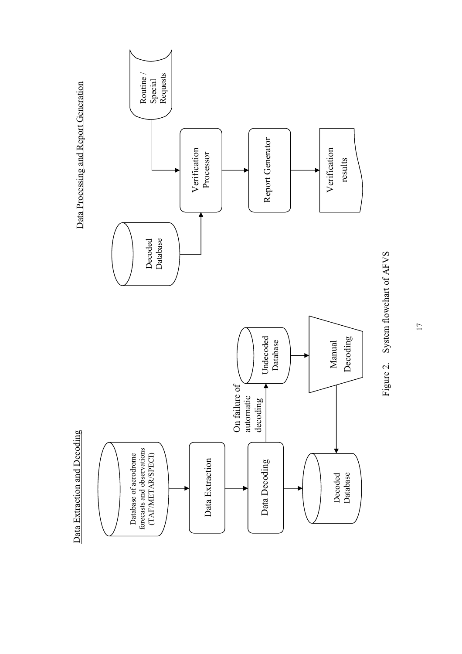

Figure 2. System flowchart of AFVS Figure 2. System flowchart of AFVS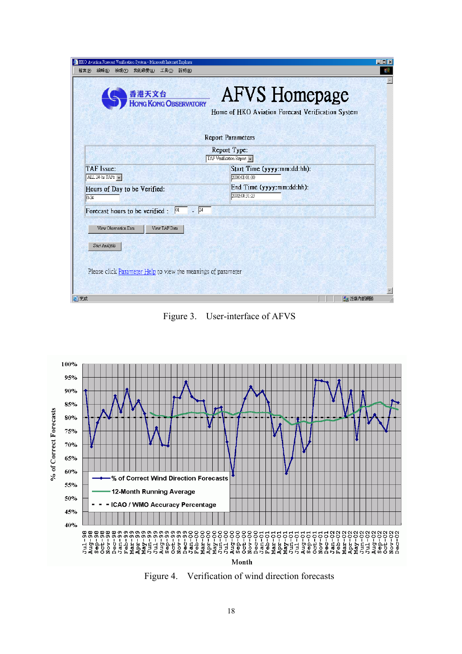| HKO Aviation Forecast Verification System - Microsoft Internet Explorer |                                                                           | $\Box$ olxi      |
|-------------------------------------------------------------------------|---------------------------------------------------------------------------|------------------|
| 編輯(E)<br>檢視(V)<br>我的最愛(A) 工具(T)<br>檔案(F)<br>說明(H)                       |                                                                           | <b>SH</b>        |
| 香港天文台<br><b>HONG KONG OBSERVATORY</b>                                   | <b>AFVS</b> Homepage<br>Home of HKO Aviation Forecast Verification System | $\blacktriangle$ |
|                                                                         | <b>Report Parameters</b>                                                  |                  |
|                                                                         | Report Type:<br>TAF Verification Report                                   |                  |
| <b>TAF Issue:</b><br>ALL 24-hr TAFs $\overline{\phantom{a}}$            | Start Time (yyyy:mm:dd:hh):<br>2000:01:01:00                              |                  |
| Hours of Day to be Verified:<br>$\overline{0.24}$                       | End Time (yyyy:mm:dd:hh):<br>2002:08:31:23                                |                  |
| $-24$<br> 01<br>Forecast hours to be verified :                         |                                                                           |                  |
| View Observation Data<br>View TAF Data                                  |                                                                           |                  |
| Start Analysis                                                          |                                                                           |                  |
| Please click Parameter Help to view the meanings of parameter           |                                                                           |                  |
| 2 完成                                                                    | 中 近端内部網路                                                                  |                  |

Figure 3. User-interface of AFVS



Figure 4. Verification of wind direction forecasts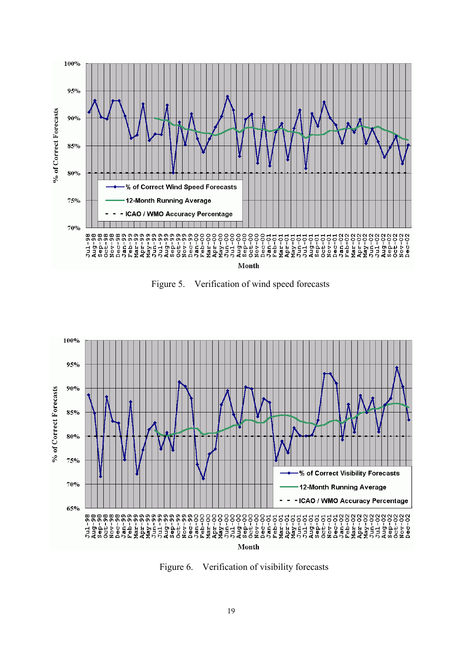

Figure 5. Verification of wind speed forecasts



Figure 6. Verification of visibility forecasts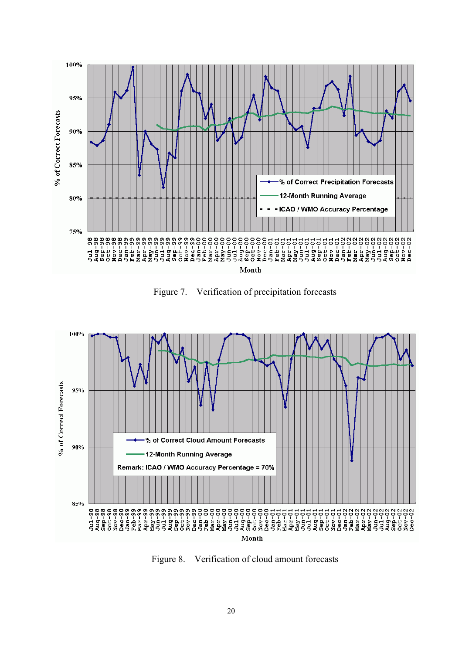

Figure 7. Verification of precipitation forecasts



Figure 8. Verification of cloud amount forecasts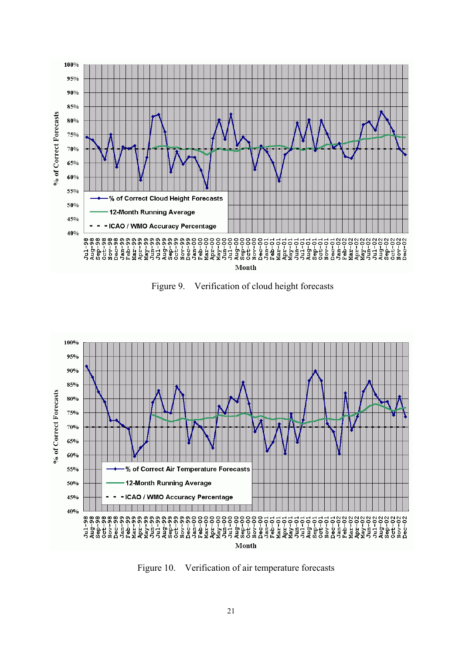

Figure 9. Verification of cloud height forecasts



Figure 10. Verification of air temperature forecasts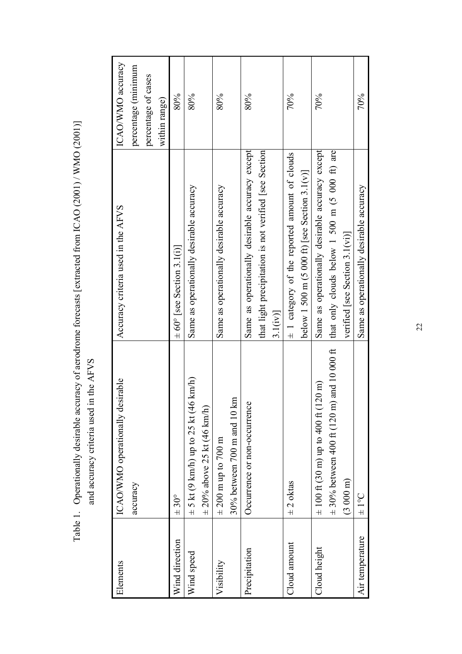| Elements        | ICAO/WMO operationally desirable                        | Accuracy criteria used in the AFVS                    | ICAO/WMO accuracy   |
|-----------------|---------------------------------------------------------|-------------------------------------------------------|---------------------|
|                 | accuracy                                                |                                                       | percentage (minimum |
|                 |                                                         |                                                       | percentage of cases |
|                 |                                                         |                                                       | within range)       |
| Wind direction  | $± 30^{\circ}$                                          | $\pm 60^{\circ}$ [see Section 3.1(i)]                 | 80%                 |
| Wind speed      | $\pm$ 5 kt (9 km/h) up to 25 kt (46 km/h)               | Same as operationally desirable accuracy              | 80%                 |
|                 | $\pm 20\%$ above 25 kt (46 km/h)                        |                                                       |                     |
| Visibility      | $\pm 200$ m up to 700 m                                 | Same as operationally desirable accuracy              | 80%                 |
|                 | 30% between 700 m and 10 km                             |                                                       |                     |
| Precipitation   | Occurrence or non-occurrence                            | Same as operationally desirable accuracy except       | 80%                 |
|                 |                                                         | that light precipitation is not verified [see Section |                     |
|                 |                                                         | 3.1(iv)                                               |                     |
| Cloud amount    | $\pm$ 2 oktas                                           | $\pm$ 1 category of the reported amount of clouds     | 70%                 |
|                 |                                                         | below 1 500 m (5 000 ft) [see Section 3.1(v)]         |                     |
| Cloud height    | $(120 \text{ m})$<br>$\pm$ 100 ft (30 m) up to 400 ft ( | Same as operationally desirable accuracy except       | 70%                 |
|                 | $\pm$ 30% between 400 ft (120 m) and 10 000 ft          | that only clouds below 1 500 m (5 000 ft) are         |                     |
|                 | $(3000 \text{ m})$                                      | verified [see Section 3.1(vi)]                        |                     |
| Air temperature | $\frac{1}{2}$                                           | Same as operationally desirable accuracy              | 70%                 |

Table 1. Operationally desirable accuracy of aerodrome forecasts [extracted from ICAO (2001) / WMO (2001)] Table 1. Operationally desirable accuracy of aerodrome forecasts [extracted from ICAO (2001) / WMO (2001)] and accuracy criteria used in the AFVS and accuracy criteria used in the AFVS

22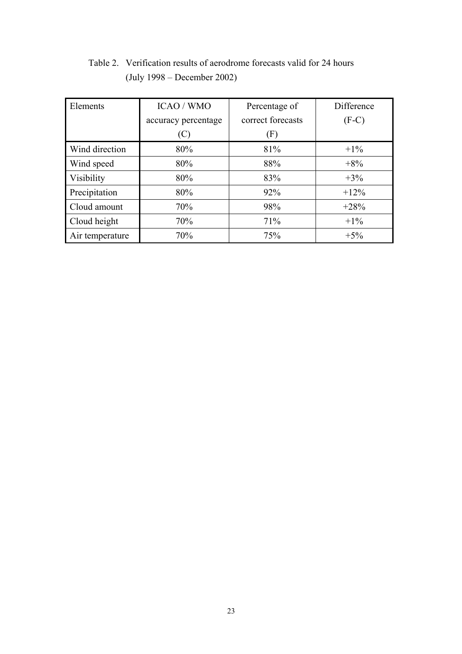| Table 2. Verification results of aerodrome forecasts valid for 24 hours |
|-------------------------------------------------------------------------|
| (July 1998 – December 2002)                                             |

| Elements        | ICAO / WMO          | Percentage of     | Difference |
|-----------------|---------------------|-------------------|------------|
|                 | accuracy percentage | correct forecasts | $(F-C)$    |
|                 | (C)                 | (F)               |            |
| Wind direction  | 80%                 | 81%               | $+1\%$     |
| Wind speed      | 80%                 | 88%               | $+8%$      |
| Visibility      | 80%                 | 83%               | $+3%$      |
| Precipitation   | 80%                 | 92%               | $+12%$     |
| Cloud amount    | 70%                 | 98%               | $+28%$     |
| Cloud height    | 70%                 | 71%               | $+1\%$     |
| Air temperature | 70%                 | 75%               | $+5%$      |